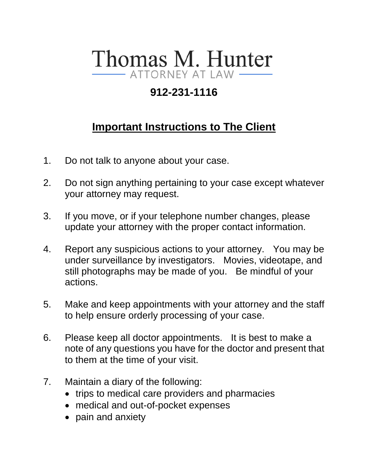# Thomas M. Hunter - ATTORNEY AT LAW

## **912-231-1116**

# **Important Instructions to The Client**

- 1. Do not talk to anyone about your case.
- 2. Do not sign anything pertaining to your case except whatever your attorney may request.
- 3. If you move, or if your telephone number changes, please update your attorney with the proper contact information.
- 4. Report any suspicious actions to your attorney. You may be under surveillance by investigators. Movies, videotape, and still photographs may be made of you. Be mindful of your actions.
- 5. Make and keep appointments with your attorney and the staff to help ensure orderly processing of your case.
- 6. Please keep all doctor appointments. It is best to make a note of any questions you have for the doctor and present that to them at the time of your visit.
- 7. Maintain a diary of the following:
	- trips to medical care providers and pharmacies
	- medical and out-of-pocket expenses
	- pain and anxiety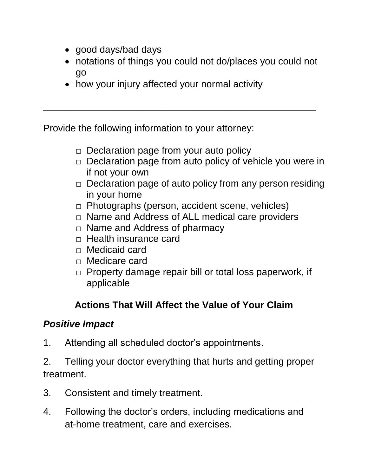- good days/bad days
- notations of things you could not do/places you could not go
- how your injury affected your normal activity

\_\_\_\_\_\_\_\_\_\_\_\_\_\_\_\_\_\_\_\_\_\_\_\_\_\_\_\_\_\_\_\_\_\_\_\_\_\_\_\_\_\_\_\_\_\_\_\_\_\_\_

Provide the following information to your attorney:

- $\Box$  Declaration page from your auto policy
- $\Box$  Declaration page from auto policy of vehicle you were in if not your own
- $\Box$  Declaration page of auto policy from any person residing in your home
- $\Box$  Photographs (person, accident scene, vehicles)
- $\Box$  Name and Address of ALL medical care providers
- $\Box$  Name and Address of pharmacy
- $\Box$  Health insurance card
- □ Medicaid card
- □ Medicare card
- □ Property damage repair bill or total loss paperwork, if applicable

## **Actions That Will Affect the Value of Your Claim**

### *Positive Impact*

- 1. Attending all scheduled doctor's appointments.
- 2. Telling your doctor everything that hurts and getting proper treatment.
- 3. Consistent and timely treatment.
- 4. Following the doctor's orders, including medications and at-home treatment, care and exercises.